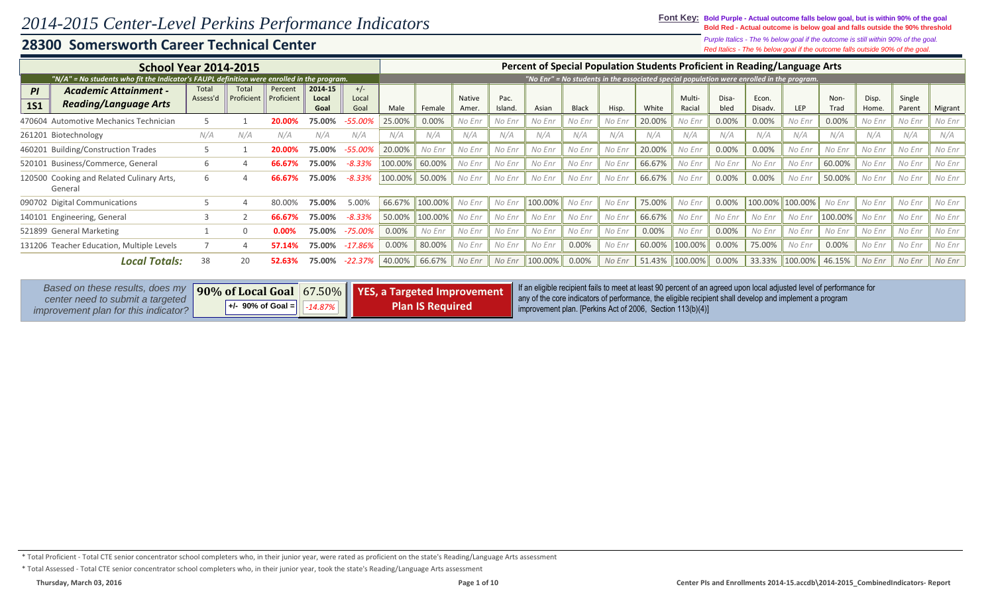### **28300 Somersworth Career Technical Center**

*Red Italics - The % below goal if the outcome falls outside 90% of the goal. Purple Italics - The % below goal if the outcome is still within 90% of the goal.*

| <b>School Year 2014-2015</b>                                                                                |                   |                                          |                       |                                                   |                        |         |                         |                        |                 | Percent of Special Population Students Proficient in Reading/Language Arts                                                                                                                                                                                                                    |              |        |        |                  |               |                  |                                                                                           |              |                |                  |         |
|-------------------------------------------------------------------------------------------------------------|-------------------|------------------------------------------|-----------------------|---------------------------------------------------|------------------------|---------|-------------------------|------------------------|-----------------|-----------------------------------------------------------------------------------------------------------------------------------------------------------------------------------------------------------------------------------------------------------------------------------------------|--------------|--------|--------|------------------|---------------|------------------|-------------------------------------------------------------------------------------------|--------------|----------------|------------------|---------|
| "N/A" = No students who fit the Indicator's FAUPL definition were enrolled in the program.                  |                   |                                          |                       |                                                   |                        |         |                         |                        |                 |                                                                                                                                                                                                                                                                                               |              |        |        |                  |               |                  | "No Enr" = No students in the associated special population were enrolled in the program. |              |                |                  |         |
| <b>Academic Attainment -</b><br>PI<br><b>Reading/Language Arts</b><br><b>1S1</b>                            | Total<br>Assess'd | Total<br>Proficient                      | Percent<br>Proficient | 2014-15<br>Local<br>Goal                          | $+/-$<br>Local<br>Goal | Male    | Female                  | <b>Native</b><br>Amer. | Pac.<br>Island. | Asian                                                                                                                                                                                                                                                                                         | <b>Black</b> | Hisp.  | White  | Multi-<br>Racial | Disa-<br>bled | Econ.<br>Disadv. | LEP                                                                                       | Non-<br>Trad | Disp.<br>Home. | Single<br>Parent | Migrant |
| 470604 Automotive Mechanics Technician                                                                      |                   |                                          | 20.00%                | 75.00%                                            | -55.00%                | 25.00%  | 0.00%                   | No Enr                 | No Enr          | No Enr                                                                                                                                                                                                                                                                                        | No Enr       | No Enr | 20.00% | No Enr           | 0.00%         | 0.00%            | No Enr                                                                                    | 0.00%        | No Enr         | No Enr           | No Enr  |
| 261201 Biotechnology                                                                                        | N/A               | N/A                                      | N/A                   | N/A                                               | N/A                    | N/A     | N/A                     | N/A                    | N/A             | N/A                                                                                                                                                                                                                                                                                           | N/A          | N/A    | N/A    | N/A              | N/A           | N/A              | N/A                                                                                       | N/A          | N/A            | N/A              | N/A     |
| 460201 Building/Construction Trades                                                                         |                   |                                          | 20.00%                | 75.00%                                            | $-55.00%$              | 20.00%  | No Enr                  | No Enr                 | No Enr          | No Enr                                                                                                                                                                                                                                                                                        | No Enr       | No Enr | 20.00% | No Enr           | 0.00%         | 0.00%            | No Enr                                                                                    | No Enr       | No Enr         | No Enr           | No Enr  |
| 520101 Business/Commerce, General                                                                           | <sub>6</sub>      |                                          | 66.67                 | 75.00%                                            | $-8.33%$               | 100.00% | 60.00%                  | No Enr                 | No Enr          | No Enr                                                                                                                                                                                                                                                                                        | No Enr       | No Enr | 66.67% | No Enr           | No Enr        | No Enr           | No Enr                                                                                    | 60.00%       | No Enr         | No Enr           | No Enr  |
| 120500 Cooking and Related Culinary Arts,<br>General                                                        | 6                 |                                          | 66.67%                | 75.00%                                            | $-8.33%$               | 100.00% | 50.00%                  | No Enr                 | No Enr          | No Enr                                                                                                                                                                                                                                                                                        | No Enr       | No Enr | 66.67% | No Enr           | 0.00%         | 0.00%            | No Enr                                                                                    | 50.00%       | No Enr         | No Enr           | No Enr  |
| 090702 Digital Communications                                                                               |                   |                                          | 80.00%                | 75.00%                                            | 5.00%                  | 66.67%  | 100.00%                 | No Enr                 | No Enr          | 100.00%                                                                                                                                                                                                                                                                                       | No Enr       | No Enr | 75.00% | No Enr           | 0.00%         | 100.00%          | 100.00%                                                                                   | No Enr       | No Enr         | No Enr           | No Enr  |
| 140101 Engineering, General                                                                                 |                   |                                          | 66.67%                | 75.00%                                            | $-8.33%$               | 50.00%  | 100.00%                 | No Enr                 | No Enr          | No Enr                                                                                                                                                                                                                                                                                        | No Enr       | No Enr | 66.67% | No Enr           | No Enr        | No Enr           | No Enr                                                                                    | 100.00%      | No Enr         | No Enr           | No Enr  |
| 521899 General Marketing                                                                                    |                   |                                          | $0.00\%$              | 75.00%                                            | $-75.00%$              | 0.00%   | No Enr                  | No Enr                 | No Enr          | No Enr                                                                                                                                                                                                                                                                                        | No Enr       | No Enr | 0.00%  | No Enr           | 0.00%         | No Enr           | No Enr                                                                                    | No Enr       | No Enr         | No Enr           | No Enr  |
| 131206 Teacher Education, Multiple Levels                                                                   |                   |                                          |                       | 75.00%                                            | $-17.86%$              | 0.00%   | 80.00%                  | No Enr                 | No Enr          | No Enr                                                                                                                                                                                                                                                                                        | 0.00%        | No Enr | 60.00% | 100.00%          | 0.00%         | 75.00%           | No Enr                                                                                    | 0.00%        | No Enr         | No Enr           | No Enr  |
| <b>Local Totals:</b>                                                                                        | 38                | 20                                       |                       | 75.00%                                            | $-22.37%$              | 40.00%  | 66.67%                  | No Enr                 | No Enr          | 100.00%                                                                                                                                                                                                                                                                                       | 0.00%        | No Enr | 51.43% | 100.00%          | 0.00%         | 33.33%           | 100.00%                                                                                   | 46.15%       | No Enr         | No Enr           | No Enr  |
| Based on these results, does my<br>center need to submit a targeted<br>improvement plan for this indicator? |                   | 90% of Local Goal<br>$+/-$ 90% of Goal = |                       | 67.50%   YES, a Targeted Improvement<br>$-14.87%$ |                        |         | <b>Plan IS Required</b> |                        |                 | If an eligible recipient fails to meet at least 90 percent of an agreed upon local adjusted level of performance for<br>any of the core indicators of performance, the eligible recipient shall develop and implement a program<br>improvement plan. [Perkins Act of 2006, Section 113(b)(4)] |              |        |        |                  |               |                  |                                                                                           |              |                |                  |         |

<sup>\*</sup> Total Proficient - Total CTE senior concentrator school completers who, in their junior year, were rated as proficient on the state's Reading/Language Arts assessment

<sup>\*</sup> Total Assessed - Total CTE senior concentrator school completers who, in their junior year, took the state's Reading/Language Arts assessment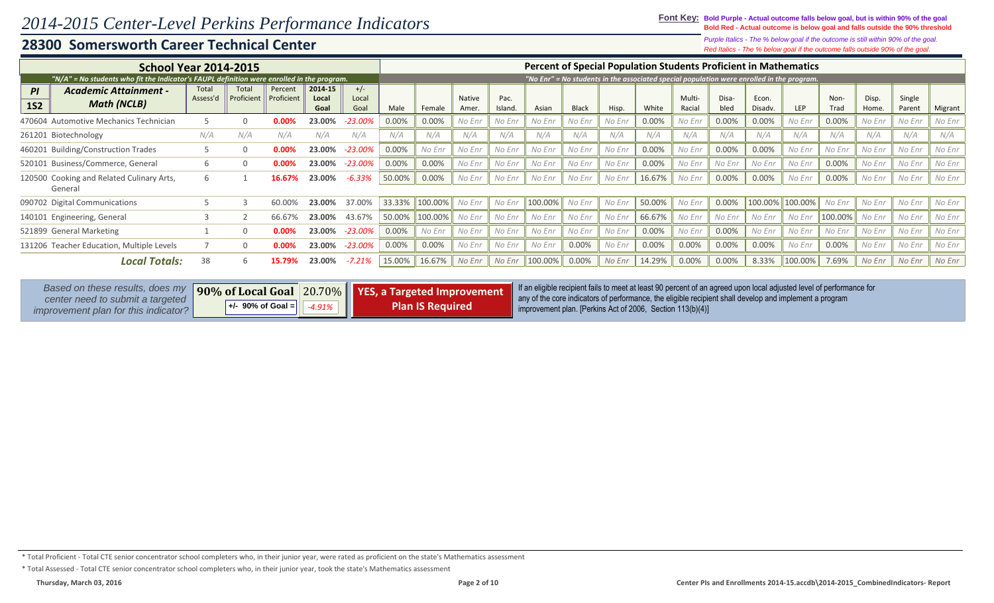### **Font Key: Bold Purple - Actual outcome falls below goal, but is within 90% of the goal Bold Red - Actual outcome is below goal and falls outside the 90% threshold**

*Red Italics - The % below goal if the outcome falls outside 90% of the goal. Purple Italics - The % below goal if the outcome is still within 90% of the goal.*

| <b>School Year 2014-2015</b>                                                                                |                   |                                        |                       |                          |                        |        |                                                        |                       |                | <b>Percent of Special Population Students Proficient in Mathematics</b>                                                                                                                                                                                                                       |              |        |                                                                                           |                         |               |                  |         |              |                |                  |         |
|-------------------------------------------------------------------------------------------------------------|-------------------|----------------------------------------|-----------------------|--------------------------|------------------------|--------|--------------------------------------------------------|-----------------------|----------------|-----------------------------------------------------------------------------------------------------------------------------------------------------------------------------------------------------------------------------------------------------------------------------------------------|--------------|--------|-------------------------------------------------------------------------------------------|-------------------------|---------------|------------------|---------|--------------|----------------|------------------|---------|
| "N/A" = No students who fit the Indicator's FAUPL definition were enrolled in the program.                  |                   |                                        |                       |                          |                        |        |                                                        |                       |                |                                                                                                                                                                                                                                                                                               |              |        | "No Enr" = No students in the associated special population were enrolled in the program. |                         |               |                  |         |              |                |                  |         |
| <b>Academic Attainment -</b><br>PI<br><b>Math (NCLB)</b><br><b>1S2</b>                                      | Total<br>Assess'd | Total<br>Proficient                    | Percent<br>Proficient | 2014 15<br>Local<br>Goal | $+/-$<br>Local<br>Goal | Male   | Female                                                 | <b>Native</b><br>Amer | Pac.<br>Island | Asian                                                                                                                                                                                                                                                                                         | <b>Black</b> | Hisp.  | White                                                                                     | <b>Multi-</b><br>Racial | Disa-<br>bled | Econ.<br>Disadv. | LEP     | Non-<br>Trad | Disp.<br>Home. | Single<br>Parent | Migrant |
| 470604 Automotive Mechanics Technician                                                                      |                   |                                        | 0.00%                 | 23.00%                   | $-23.00%$              | 0.00%  | 0.00%                                                  | No Enr                | No Enr         | No Enr                                                                                                                                                                                                                                                                                        | No Enr       | No Enr | 0.00%                                                                                     | No Enr                  | 0.00%         | 0.00%            | No Enr  | 0.00%        | No Enr         | No Enr           | No Enr  |
| 261201 Biotechnology                                                                                        | N/A               | N/A                                    | N/A                   | N/A                      | N/A                    | N/A    | N/A                                                    | N/A                   | N/A            | N/A                                                                                                                                                                                                                                                                                           | N/A          | N/A    | N/A                                                                                       | N/A                     | N/A           | N/A              | N/A     | N/A          | N/A            | N/A              | N/A     |
| 460201 Building/Construction Trades                                                                         |                   |                                        | 0.00%                 | 23.00%                   | $-23.00%$              | 0.00%  | No Enr                                                 | No Enr                | No Enr         | No Enr                                                                                                                                                                                                                                                                                        | No Enr       | No Enr | 0.00%                                                                                     | No Enr                  | 0.00%         | 0.00%            | No Enr  | No Enr       | No Enr         | No Enr           | No Enr  |
| 520101 Business/Commerce, General                                                                           |                   |                                        | 0.00%                 | 23.00%                   | $-23.00%$              | 0.00%  | 0.00%                                                  | No Enr                | No Enr         | No Enr                                                                                                                                                                                                                                                                                        | No Enr       | No Enr | 0.00%                                                                                     | No Enr                  | No Enr        | No Enr           | No Enr  | 0.00%        | No Enr         | No Enr           | No Enr  |
| 120500 Cooking and Related Culinary Arts,<br>General                                                        |                   |                                        | 16.67                 | 23.00%                   | $-6.33%$               | 50.00% | 0.00%                                                  | No Enr                | No Enr         | No Enr                                                                                                                                                                                                                                                                                        | No Enr       | No Enr | 16.67%                                                                                    | No Enr                  | 0.00%         | 0.00%            | No Enr  | 0.00%        | No Enr         | No Enr           | No Enr  |
| 090702 Digital Communications                                                                               |                   |                                        | 60.00%                | 23.00%                   | 37.00%                 | 33.33% | 100.00%                                                | No Enr                | No Enr         | 100.00%                                                                                                                                                                                                                                                                                       | No Enr       | No Enr | 50.00%                                                                                    | No Enr                  | 0.00%         | 100.00%          | 100.00% | No Enr       | No Enr         | No Enr           | No Enr  |
| 140101 Engineering, General                                                                                 |                   |                                        | 66.67%                | 23.00%                   | 43.67%                 | 50.00% | 100.00%                                                | No Enr                | No Enr         | No Enr                                                                                                                                                                                                                                                                                        | No Enr       | No Enr | 66.67%                                                                                    | No Enr                  | No Enr        | No Enr           | No Enr  | 100.00%      | No Enr         | No Enr           | No Enr  |
| 521899 General Marketing                                                                                    |                   |                                        | 0.00%                 | 23.00%                   | $-23.00%$              | 0.00%  | No Enr                                                 | No Enr                | No Enr         | No Enr                                                                                                                                                                                                                                                                                        | No Enr       | No Enr | 0.00%                                                                                     | No Enr                  | 0.00%         | No Enr           | No Enr  | No Enr       | No Enr         | No Enr           | No Enr  |
| 131206 Teacher Education, Multiple Levels                                                                   |                   | <sup>0</sup>                           | 0.00%                 | 23.00%                   | $-23.00%$              | 0.00%  | 0.00%                                                  | No Enr                | No Enr         | No Enr                                                                                                                                                                                                                                                                                        | 0.00%        | No Enr | 0.00%                                                                                     | 0.00%                   | 0.00%         | 0.00%            | No Enr  | 0.00%        | No Enr         | No Enr           | No Enr  |
| <b>Local Totals:</b>                                                                                        | 38                | 6.                                     | 15.79%                | 23.00%                   | $-7.21%$               | 15.00% | 16.67%                                                 | No Enr                | No Enr         | 100.00%                                                                                                                                                                                                                                                                                       | 0.00%        | No Enr | 14.29%                                                                                    | 0.00%                   | 0.00%         | 8.33%            | 100.00% | 7.69%        | No Enr         | No Enr           | No Enr  |
| Based on these results, does my<br>center need to submit a targeted<br>improvement plan for this indicator? |                   | 90% of Local Goal<br>+/- 90% of Goal = |                       | $ 20.70\% $<br>$-4.91%$  |                        |        | YES, a Targeted Improvement<br><b>Plan IS Required</b> |                       |                | If an eligible recipient fails to meet at least 90 percent of an agreed upon local adjusted level of performance for<br>any of the core indicators of performance, the eligible recipient shall develop and implement a program<br>improvement plan. [Perkins Act of 2006, Section 113(b)(4)] |              |        |                                                                                           |                         |               |                  |         |              |                |                  |         |

\* Total Proficient - Total CTE senior concentrator school completers who, in their junior year, were rated as proficient on the state's Mathematics assessment

\* Total Assessed - Total CTE senior concentrator school completers who, in their junior year, took the state's Mathematics assessment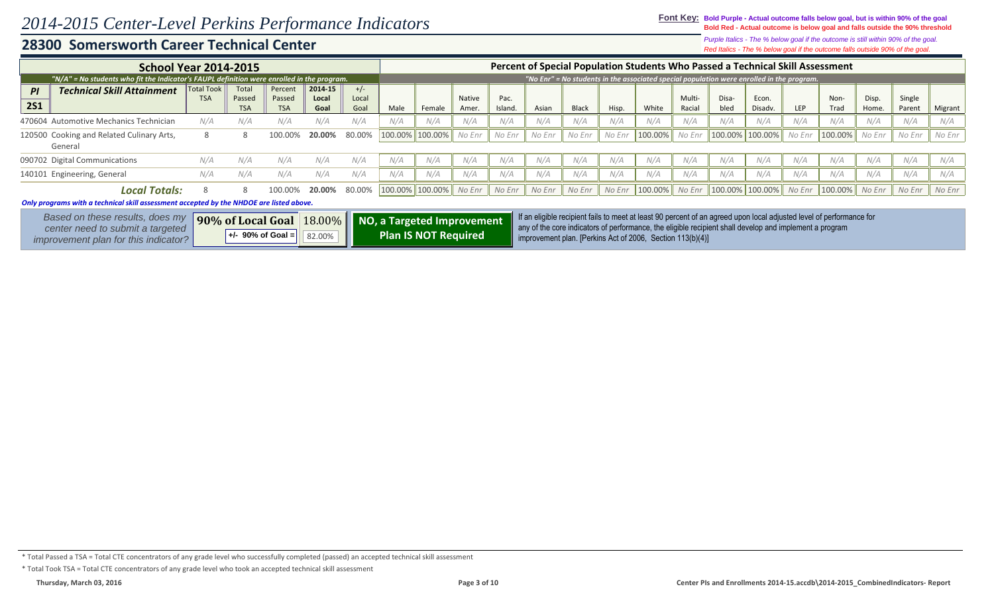### **Font Key: Bold Purple - Actual outcome falls below goal, but is within 90% of the goal Bold Red - Actual outcome is below goal and falls outside the 90% threshold**

*Red Italics - The % below goal if the outcome falls outside 90% of the goal. Purple Italics - The % below goal if the outcome is still within 90% of the goal.*

|            | <b>School Year 2014-2015</b>                                                               |                   |                      |                      |               |               |         |                        |                 |                 |        |              |        | Percent of Special Population Students Who Passed a Technical Skill Assessment                                       |                  |               |                  |            |                              |                |                  |         |
|------------|--------------------------------------------------------------------------------------------|-------------------|----------------------|----------------------|---------------|---------------|---------|------------------------|-----------------|-----------------|--------|--------------|--------|----------------------------------------------------------------------------------------------------------------------|------------------|---------------|------------------|------------|------------------------------|----------------|------------------|---------|
|            | "N/A" = No students who fit the Indicator's FAUPL definition were enrolled in the program. |                   |                      |                      |               |               |         |                        |                 |                 |        |              |        | "No Enr" = No students in the associated special population were enrolled in the program.                            |                  |               |                  |            |                              |                |                  |         |
| PI         | <b>Technical Skill Attainment</b>                                                          | <b>Total Took</b> | Total                | Percent              | 2014-15       | $+/-$         |         |                        |                 |                 |        |              |        |                                                                                                                      |                  |               |                  |            |                              |                |                  |         |
| <b>2S1</b> |                                                                                            | <b>TSA</b>        | Passed<br><b>TSA</b> | Passed<br><b>TSA</b> | Local<br>Goal | Local<br>Goal | Male    | Female                 | Native<br>Amer. | Pac.<br>Island. | Asian  | <b>Black</b> | Hisp.  | White                                                                                                                | Multi-<br>Racial | Disa-<br>bled | Econ.<br>Disadv. | <b>LEP</b> | Non-<br>Trad                 | Disp.<br>Home. | Single<br>Parent | Migrant |
|            | 470604 Automotive Mechanics Technician                                                     | N/A               | N/A                  | N/A                  | N/A           | N/A           | N/A     | N/A                    | N/A             | N/A             | N/A    | N/A          | N/A    | N/A                                                                                                                  | N/A              | N/A           | N/A              | N/A        | N/A                          | N/A            | N/A              | N/A     |
|            | 120500 Cooking and Related Culinary Arts,<br>General                                       | 8                 | 8                    | 100.00%              | 20.00%        | 80.00%        | 100.00% | 100.00%                | No Enr          | No Enr          | No Enr | No Enr       | No Enr | 100.00%                                                                                                              | No Enr           |               | 100.00% 100.00%  | No Enr     | 100.00%                      | No Enr         | No Enr           | No Enr  |
|            | 090702 Digital Communications                                                              | N/A               | N/A                  | N/A                  | N/A           | N/A           | N/A     | N/A                    | N/A             | N/A             | N/A    | N/A          | N/A    | N/A                                                                                                                  | N/A              | N/A           | N/A              | N/A        | N/A                          | N/A            | N/A              | N/A     |
|            | 140101 Engineering, General                                                                | N/A               | N/A                  | N/A                  | N/A           | N/A           | N/A     | N/A                    | N/A             | N/A             | N/A    | N/A          | N/A    | N/A                                                                                                                  | N/A              | N/A           | N/A              | N/A        | N/A                          | N/A            | N/A              | N/A     |
|            | <b>Local Totals:</b>                                                                       | 8                 |                      | 100.00%              | 20.00%        | 80.00%        |         | 100.00% 100.00% No Enr |                 | No Enr          | No Enr | No Enr       |        | No Enr   100.00%   No Enr   100.00%   100.00%                                                                        |                  |               |                  |            | No Enr   $100.00\%$   No Enr |                | No Enr           | No Enr  |
|            | Only programs with a technical skill assessment accepted by the NHDOE are listed above.    |                   |                      |                      |               |               |         |                        |                 |                 |        |              |        |                                                                                                                      |                  |               |                  |            |                              |                |                  |         |
|            |                                                                                            |                   |                      |                      |               |               |         |                        |                 |                 |        |              |        | If an eligible recipient fails to meet at least 90 percent of an agreed upon local adjusted level of performance for |                  |               |                  |            |                              |                |                  |         |

| Based on these results, does my             |                       |        | <b>90% of Local Goal</b> 18.00% NO, a Targeted Improvement | If an eligible recipient fails to meet at least 90 percent of an agreed upon local adjusted level of performance for                                                     |
|---------------------------------------------|-----------------------|--------|------------------------------------------------------------|--------------------------------------------------------------------------------------------------------------------------------------------------------------------------|
| center need to submit a targeted            | $+/-$ 90% of Goal $=$ | 82.00% | <b>Plan IS NOT Required</b>                                | any of the core indicators of performance, the eligible recipient shall develop and implement a program<br>improvement plan. [Perkins Act of 2006, Section $113(b)(4)$ ] |
| <i>improvement plan for this indicator?</i> |                       |        |                                                            |                                                                                                                                                                          |

\* Total Passed a TSA = Total CTE concentrators of any grade level who successfully completed (passed) an accepted technical skill assessment

\* Total Took TSA = Total CTE concentrators of any grade level who took an accepted technical skill assessment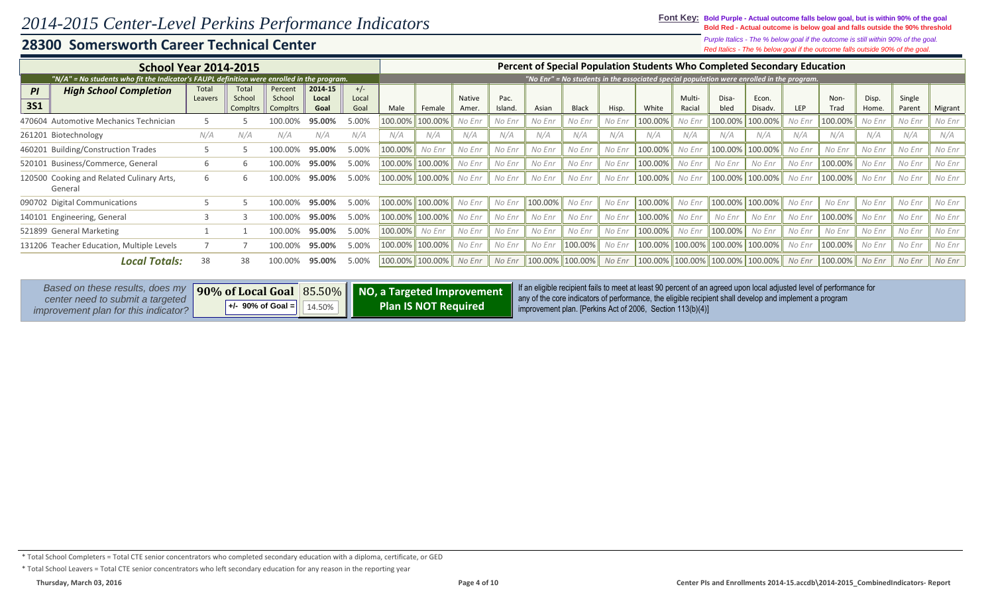### **Font Key: Bold Purple - Actual outcome falls below goal, but is within 90% of the goal Bold Red - Actual outcome is below goal and falls outside the 90% threshold**

*Red Italics - The % below goal if the outcome falls outside 90% of the goal. Purple Italics - The % below goal if the outcome is still within 90% of the goal.*

| <b>School Year 2014-2015</b>                                                                                |                  |                                          |                                      |                          |                        |                                                           |                 |                       |                |                    |              |         | Percent of Special Population Students Who Completed Secondary Education                                                                                              |                  |               |                  |         |                                                                                                                      |                |                  |         |
|-------------------------------------------------------------------------------------------------------------|------------------|------------------------------------------|--------------------------------------|--------------------------|------------------------|-----------------------------------------------------------|-----------------|-----------------------|----------------|--------------------|--------------|---------|-----------------------------------------------------------------------------------------------------------------------------------------------------------------------|------------------|---------------|------------------|---------|----------------------------------------------------------------------------------------------------------------------|----------------|------------------|---------|
| "N/A" = No students who fit the Indicator's FAUPL definition were enrolled in the program.                  |                  |                                          |                                      |                          |                        |                                                           |                 |                       |                |                    |              |         | "No Enr" = No students in the associated special population were enrolled in the program.                                                                             |                  |               |                  |         |                                                                                                                      |                |                  |         |
| <b>High School Completion</b><br>PI<br><b>3S1</b>                                                           | Total<br>Leavers | Total<br>School<br>Compltr:              | Percent<br>School<br><b>Compltrs</b> | 2014 15<br>Local<br>Goal | $+/-$<br>Local<br>Goal | Male                                                      | Female          | <b>Native</b><br>Amer | Pac.<br>Island | Asian              | <b>Black</b> | Hisp.   | White                                                                                                                                                                 | Multi-<br>Racial | Disa-<br>bled | Econ.<br>Disadv. | LEP     | Non-<br>Trad                                                                                                         | Disp.<br>Home. | Single<br>Parent | Migrant |
| 470604 Automotive Mechanics Technician                                                                      |                  |                                          |                                      | 95.00%                   | 5.00%                  | 100.00%                                                   | 100.00%         | No Enr                | No Enr         | No Enr             | No Enr       | No Enr  | 100.00%                                                                                                                                                               | No Enr           | 100.00%       | 100.00%          | No Enr  | 100.00%                                                                                                              | No Enr         | No Enr           | No Enr  |
| 261201 Biotechnology                                                                                        | N/A              | N/A                                      | N/A                                  | N/A                      | N/A                    | N/A                                                       | N/A             | N/A                   | N/A            | N/A                | N/A          | N/A     | N/A                                                                                                                                                                   | N/A              | N/A           | N/A              | N/A     | N/A                                                                                                                  | N/A            | N/A              | N/A     |
| 460201 Building/Construction Trades                                                                         |                  |                                          | 100.00                               | 95.00%                   | 5.00%                  | 100.00%                                                   | No Enr          | No Enr                | No Enr         | No Enr             | No Enr       | No Enr  | 100.00%                                                                                                                                                               | No Enr           | 100.00%       | 100.00%          | No Enr  | No Enr                                                                                                               | No Enr         | No Enr           | No Enr  |
| 520101 Business/Commerce, General                                                                           |                  |                                          | 100.00%                              | 5.00%                    | 100.00%                | 100.00%                                                   | No Enr          | No Enr                | No Enr         | No Enr             | No Enr       | 100.00% | No Enr                                                                                                                                                                | No Enr           | No Enr        | No Enr           | 100.00% | No Enr                                                                                                               | No Enr         | No Enr           |         |
| 120500 Cooking and Related Culinary Arts,<br>General                                                        | 6                |                                          | 100.00%                              | 95.00%                   | 5.00%                  |                                                           | 100.00% 100.00% | No Enr                | No Enr         | No Enr             | No Enr       | No Enr  | 100.00%                                                                                                                                                               | No Enr           | 100.00%       | 100.00%          | No Enr  | 100.00%                                                                                                              | No Enr         | No Enr           | No Enr  |
| 090702 Digital Communications                                                                               |                  |                                          | 100.00%                              | 95.00%                   | 5.00%                  | 100.00%                                                   | 100.00%         | No Enr                | No Enr         | 100.00%            | No Enr       | No Enr  | 100.00%                                                                                                                                                               | No Enr           | 100.00%       | 100.00%          | No Enr  | No Enr                                                                                                               | No Enr         | No Enr           | No Enr  |
| 140101 Engineering, General                                                                                 |                  |                                          | 100.00%                              | 95.00%                   | 5.00%                  | 100.00%                                                   | 100.00%         | No Enr                | No Enr         | No Enr             | No Enr       | No Enr  | 100.00%                                                                                                                                                               | No Enr           | No Enr        | No Enr           | No Enr  | 100.00%                                                                                                              | No Enr         | No Enr           | No Enr  |
| 521899 General Marketing                                                                                    |                  |                                          | 100.00%                              | 95.00%                   | 5.00%                  | 100.00%                                                   | No Enr          | No Enr                | No Enr         | No Enr             | No Enr       | No Enr  | 100.00%                                                                                                                                                               | No Enr           | 100.00%       | No Enr           | No Enr  | No Enr                                                                                                               | No Enr         | No Enr           | No Enr  |
| 131206 Teacher Education, Multiple Levels                                                                   |                  |                                          | 100.00%                              | 95.00%                   | 5.00%                  | 100.00%                                                   | 100.00%         | No Enr                | No Enr         | No Enr             | 100.00%      | No Enr  | 100.00% 100.00%                                                                                                                                                       |                  | 100.00%       | 100.00%          | No Enr  | 100.00%                                                                                                              | No Enr         | No Enr           | No Enr  |
| <b>Local Totals:</b>                                                                                        | 38               | 38                                       | 100.00%                              | 95.00%                   | 5.00%                  |                                                           | 100.00% 100.00% | No Enr                | No Enr         | $100.00\%$ 100.00% |              | No Enr  | $\ 100.00\%$ 100.00% 100.00% 100.00% $\ $ No Enr                                                                                                                      |                  |               |                  |         | 100.00%                                                                                                              | No Enr         | No Enr           | No Enr  |
| Based on these results, does my<br>center need to submit a targeted<br>improvement plan for this indicator? |                  | 90% of Local Goal<br>$+/-$ 90% of Goal = |                                      | 85.50%<br>14.50%         |                        | NO, a Targeted Improvement<br><b>Plan IS NOT Required</b> |                 |                       |                |                    |              |         | any of the core indicators of performance, the eligible recipient shall develop and implement a program<br>improvement plan. [Perkins Act of 2006, Section 113(b)(4)] |                  |               |                  |         | If an eligible recipient fails to meet at least 90 percent of an agreed upon local adjusted level of performance for |                |                  |         |

<sup>\*</sup> Total School Completers = Total CTE senior concentrators who completed secondary education with a diploma, certificate, or GED

<sup>\*</sup> Total School Leavers = Total CTE senior concentrators who left secondary education for any reason in the reporting year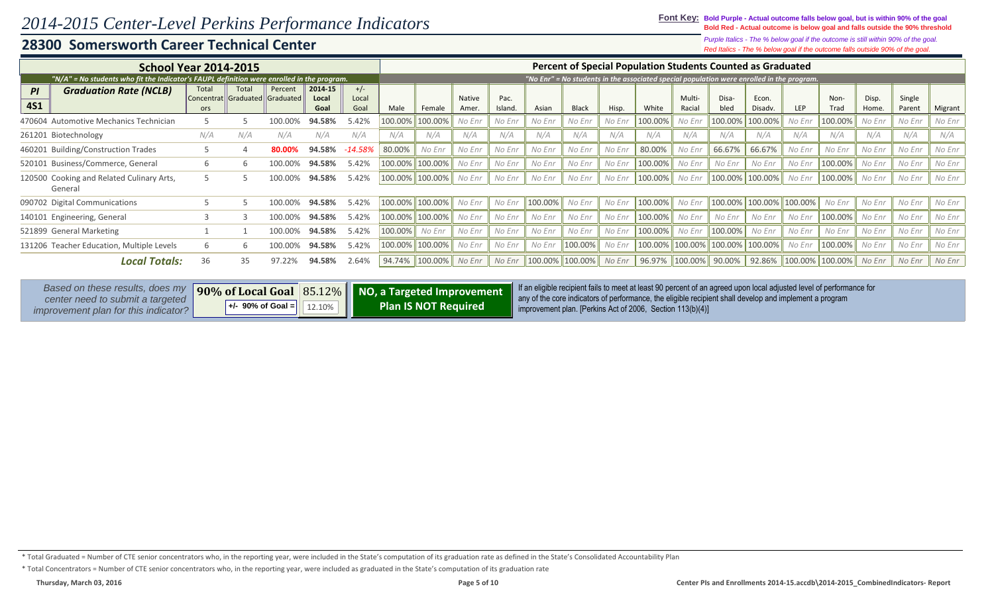### **Font Key: Bold Purple - Actual outcome falls below goal, but is within 90% of the goal Bold Red - Actual outcome is below goal and falls outside the 90% threshold**

### *Red Italics - The % below goal if the outcome falls outside 90% of the goal. Purple Italics - The % below goal if the outcome is still within 90% of the goal.*

| <b>School Year 2014-2015</b>                                                                                |               |                                          |                                           |                          |                        |                                                           |                 |                       |                |         |                        |        | <b>Percent of Special Population Students Counted as Graduated</b>                                                                                                                                                                                                                            |                  |                              |                  |         |                                    |                |                  |         |
|-------------------------------------------------------------------------------------------------------------|---------------|------------------------------------------|-------------------------------------------|--------------------------|------------------------|-----------------------------------------------------------|-----------------|-----------------------|----------------|---------|------------------------|--------|-----------------------------------------------------------------------------------------------------------------------------------------------------------------------------------------------------------------------------------------------------------------------------------------------|------------------|------------------------------|------------------|---------|------------------------------------|----------------|------------------|---------|
| "N/A" = No students who fit the Indicator's FAUPL definition were enrolled in the program.                  |               |                                          |                                           |                          |                        |                                                           |                 |                       |                |         |                        |        | "No Enr" = No students in the associated special population were enrolled in the program.                                                                                                                                                                                                     |                  |                              |                  |         |                                    |                |                  |         |
| <b>Graduation Rate (NCLB)</b><br>PI<br><b>4S1</b>                                                           | Total<br>ors. | Total                                    | Percent<br>Concentrat Graduated Graduated | 2014 15<br>Local<br>Goal | $+/-$<br>Local<br>Goal | Male                                                      | Female          | <b>Native</b><br>Amer | Pac.<br>Island | Asian   | <b>Black</b>           | Hisp.  | White                                                                                                                                                                                                                                                                                         | Multi-<br>Racial | Disa-<br>bled                | Econ.<br>Disadv. | LEP     | Non-<br>Trad                       | Disp.<br>Home. | Single<br>Parent | Migrant |
| 470604 Automotive Mechanics Technician                                                                      |               |                                          | 100.00                                    | 94.58%                   | 5.42%                  | 100.00%                                                   | 100.00%         | No Enr                | No Enr         | No Enr  | No Enr                 | No Enr | 100.00%                                                                                                                                                                                                                                                                                       | No Enr           | 100.00%                      | 100.00%          | No Enr  | 100.00%                            | No Enr         | No Enr           | No Enr  |
| 261201 Biotechnology                                                                                        | N/A           | N/A                                      | N/A                                       | N/A                      | N/A                    | N/A                                                       | N/A             | N/A                   | N/A            | N/A     | N/A                    | N/A    | N/A                                                                                                                                                                                                                                                                                           | N/A              | N/A                          | N/A              | N/A     | N/A                                | N/A            | N/A              | N/A     |
| 460201 Building/Construction Trades                                                                         |               |                                          | 80.00%                                    | 94.58%                   | -14.58%                | 80.00%                                                    | No Enr          | No Enr                | No Enr         | No Enr  | No Enr                 | No Enr | 80.00%                                                                                                                                                                                                                                                                                        | No Enr           | 66.67%                       | 66.67%           | No Enr  | No Enr                             | No Enr         | No Enr           | No Enr  |
| 520101 Business/Commerce, General                                                                           | 6             |                                          | 100.00%                                   | 94.58%                   | 5.42%                  | 100.00%                                                   | 100.00%         | No Enr                | No Enr         | No Enr  | No Enr                 | No Enr | 100.00%                                                                                                                                                                                                                                                                                       | No Enr           | No Enr                       | No Enr           | No Enr  | 100.00%                            | No Enr         | No Enr           | No Enr  |
| 120500 Cooking and Related Culinary Arts,<br>General                                                        |               |                                          | 100.00%                                   | 94.58%                   | 5.42%                  | 100.00%                                                   | 100.00%         | No Enr                | No Enr         | No Enr  | No Enr                 | No Enr | 100.00%                                                                                                                                                                                                                                                                                       | No Enr           | 100.00%                      | 100.00%          | No Enr  | 100.00%                            | No Enr         | No Enr           | No Enr  |
| 090702 Digital Communications                                                                               |               |                                          | 100.00%                                   | 94.58%                   | 5.42%                  |                                                           | 100.00% 100.00% | No Enr                | No Enr         | 100.00% | No Enr                 | No Enr | 100.00%                                                                                                                                                                                                                                                                                       | No Enr           | 100.00%                      | 100.00%          | 100.00% | No Enr                             | No Enr         | No Enr           | No Enr  |
| 140101 Engineering, General                                                                                 |               |                                          | 100.00%                                   | 94.58%                   | 5.42%                  | 100.00%                                                   | 100.00%         | No Enr                | No Enr         | No Enr  | No Enr                 | No Enr | 100.00%                                                                                                                                                                                                                                                                                       | No Enr           | No Enr                       | No Enr           | No Enr  | 100.00%                            | No Enr         | No Enr           | No Enr  |
| 521899 General Marketing                                                                                    |               |                                          | 100.00%                                   | 94.58%                   | 5.42%                  | 100.00%                                                   | No Enr          | No Enr                | No Enr         | No Enr  | No Enr                 | No Enr | 100.00%                                                                                                                                                                                                                                                                                       | No Enr           | 100.00%                      | No Enr           | No Enr  | No Enr                             | No Enr         | No Enr           | No Enr  |
| 131206 Teacher Education, Multiple Levels                                                                   | h             |                                          | 100.00%                                   | 94.58%                   | 5.42%                  | 100.00%                                                   | 100.00%         | No Enr                | No Enr         | No Enr  | 100.00% No Enr         |        | 100.00% 100.00%                                                                                                                                                                                                                                                                               |                  | 100.00%                      | 100.00%          | No Enr  | 100.00%                            | No Enr         | No Enr           | No Enr  |
| <b>Local Totals:</b>                                                                                        | 36            | 35                                       | 97.22%                                    | 94.58%                   | 2.64%                  | 94.74%                                                    | 100.00%         | No Enr                | No Enr         |         | 100.00% 100.00% No Enr |        |                                                                                                                                                                                                                                                                                               |                  | 96.97% 100.00% 90.00% 92.86% |                  |         | $\ 100.00\% \  100.00\% \ $ No Enr |                | No Enr           | No Enr  |
| Based on these results, does my<br>center need to submit a targeted<br>improvement plan for this indicator? |               | 90% of Local Goal<br>$+/-$ 90% of Goal = |                                           | 85.12%<br>12.10%         |                        | NO, a Targeted Improvement<br><b>Plan IS NOT Required</b> |                 |                       |                |         |                        |        | If an eligible recipient fails to meet at least 90 percent of an agreed upon local adjusted level of performance for<br>any of the core indicators of performance, the eligible recipient shall develop and implement a program<br>improvement plan. [Perkins Act of 2006, Section 113(b)(4)] |                  |                              |                  |         |                                    |                |                  |         |

<sup>\*</sup> Total Graduated = Number of CTE senior concentrators who, in the reporting year, were included in the State's computation of its graduation rate as defined in the State's Consolidated Accountability Plan

<sup>\*</sup> Total Concentrators = Number of CTE senior concentrators who, in the reporting year, were included as graduated in the State's computation of its graduation rate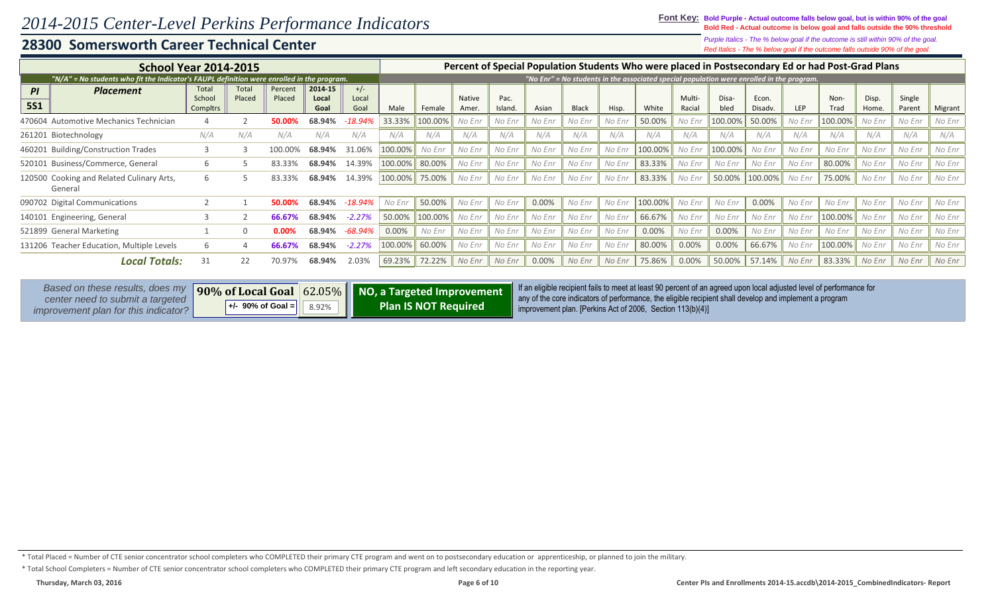### **28300 Somersworth Career Technical Center**

*Red Italics - The % below goal if the outcome falls outside 90% of the goal. Purple Italics - The % below goal if the outcome is still within 90% of the goal.*

| <b>School Year 2014-2015</b>                                                               |                                    |                 |                   |                                                                    |                        |         |         |                        |                 |        |              |        |         |                         | Percent of Special Population Students Who were placed in Postsecondary Ed or had Post-Grad Plans                    |                  |        |              |                |                  |         |
|--------------------------------------------------------------------------------------------|------------------------------------|-----------------|-------------------|--------------------------------------------------------------------|------------------------|---------|---------|------------------------|-----------------|--------|--------------|--------|---------|-------------------------|----------------------------------------------------------------------------------------------------------------------|------------------|--------|--------------|----------------|------------------|---------|
| "N/A" = No students who fit the Indicator's FAUPL definition were enrolled in the program. |                                    |                 |                   |                                                                    |                        |         |         |                        |                 |        |              |        |         |                         | "No Enr" = No students in the associated special population were enrolled in the program.                            |                  |        |              |                |                  |         |
| PI<br><b>Placement</b><br><b>5S1</b>                                                       | Total<br>School<br><b>Compltrs</b> | Total<br>Placed | Percent<br>Placed | 2014-15<br>Local<br>Goal                                           | $+/-$<br>Local<br>Goal | Male    | Female  | <b>Native</b><br>Amer. | Pac.<br>Island. | Asian  | <b>Black</b> | Hisp.  | White   | <b>Multi-</b><br>Racial | Disa-<br>bled                                                                                                        | Econ.<br>Disadv. | LEP    | Non-<br>Trad | Disp.<br>Home. | Single<br>Parent | Migrant |
| 470604 Automotive Mechanics Technician                                                     |                                    |                 | 50.00%            | 68.94%                                                             | 18.94%                 | 33.33%  | 100.00% | No Enr                 | No Enr          | No Enr | No Enr       | No Enr | 50.00%  | No Enr                  | 100.00%                                                                                                              | 50.00%           | No Enr | 100.00%      | No Enr         | No Enr           | No Enr  |
| 261201 Biotechnology                                                                       | N/A                                | N/A             | N/A               | N/A                                                                | N/A                    | N/A     | N/A     | N/A                    | N/A             | N/A    | N/A          | N/A    | N/A     | N/A                     | N/A                                                                                                                  | N/A              | N/A    | N/A          | N/A            | N/A              | N/A     |
| 460201 Building/Construction Trades                                                        |                                    |                 | 100.00%           | 68.94%                                                             | 31.06%                 | 100.00% | No Enr  | No Enr                 | No Enr          | No Enr | No Enr       | No Enr | 100.00% | No Enr                  | 100.00%                                                                                                              | No Enr           | No Enr | No Enr       | No Enr         | No Enr           | No Enr  |
| 520101 Business/Commerce, General                                                          | 6                                  |                 | 83.33%            | 68.94%                                                             | 14.39%                 | 100.00% | 80.00%  | No Enr                 | No Enr          | No Enr | No Enr       | No Enr | 83.33%  | No Enr                  | No Enr                                                                                                               | No Enr           | No Enr | 80.00%       | No Enr         | No Enr           | No Enr  |
| 120500 Cooking and Related Culinary Arts,<br>General                                       | h                                  |                 |                   | 68.94%                                                             | 14.39%                 | 100.00% | 75.00%  | No Enr                 | No Enr          | No Enr | No Enr       | No Enr | 83.33%  | No Enr                  | 50.00%                                                                                                               | 100.00%          | No Enr | 75.00%       | No Enr         | No Enr           | No Enr  |
| 090702 Digital Communications                                                              |                                    |                 | 50.00%            | 68.94%                                                             | $-18.94\%$             | No Enr  | 50.00%  | No Enr                 | No Enr          | 0.00%  | No Enr       | No Enr | 100.00% | No Enr                  | No Enr                                                                                                               | 0.00%            | No Enr | No Enr       | No Enr         | No Enr           | No Enr  |
| 140101 Engineering, General                                                                |                                    |                 | 66.67%            | 68.94%                                                             | $-2.27%$               | 50.00%  | 100.00% | No Enr                 | No Enr          | No Enr | No Enr       | No Enr | 66.67%  | No Enr                  | No Enr                                                                                                               | No Enr           | No Enr | 100.00%      | No Enr         | No Enr           | No Enr  |
| 521899 General Marketing                                                                   |                                    |                 |                   | 68.94%                                                             | $-68.94%$              | 0.00%   | No Enr  | No Enr                 | No Enr          | No Enr | No Enr       | No Enr | 0.00%   | No Enr                  | 0.00%                                                                                                                | No Enr           | No Enr | No Enr       | No Enr         | No Enr           | No Enr  |
| 131206 Teacher Education, Multiple Levels                                                  | h                                  |                 |                   | 68.94%                                                             | $-2.27%$               | 100.00% | 60.00%  | No Enr                 | No Enr          | No Enr | No Enr       | No Enr | 80.00%  | 0.00%                   | 0.00%                                                                                                                | 66.67%           | No Enr | 100.00%      | No Enr         | No Enr           | No Enr  |
| <b>Local Totals:</b>                                                                       | 31                                 | 22              | 70.97%            | 68.94%                                                             | 2.03%                  | 69.23%  | 72.22%  | No Enr                 | No Enr          | 0.00%  | No Enr       | No Enr | 75.86%  | 0.00%                   | 50.00%                                                                                                               | 57.14%           | No Enr | 83.33%       | No Enr         | No Enr           | No Enr  |
| Based on these results, does my                                                            |                                    |                 |                   | $\vert$ 00% of Local Coal 62.05% $\vert$ NO a Targeted Improvement |                        |         |         |                        |                 |        |              |        |         |                         | If an eligible recipient fails to meet at least 90 percent of an agreed upon local adjusted level of performance for |                  |        |              |                |                  |         |

| Based on these results, does my                                          |                                                                                           |                             | no, a Targeted Improvement   If an eligible recipient fails to meet at least 90 percent of an agreed upon local adjusted level of performance for                                 |
|--------------------------------------------------------------------------|-------------------------------------------------------------------------------------------|-----------------------------|-----------------------------------------------------------------------------------------------------------------------------------------------------------------------------------|
| center need to submit a targeted<br>improvement plan for this indicator? | $\begin{array}{ c c c c c c c c } \hline +/- & 90\% & \hline \end{array}$ of Goal = 8.92% | <b>Plan IS NOT Required</b> | any of the core indicators of performance, the eligible recipient shall develop and implement a program<br>$\parallel$ improvement plan. [Perkins Act of 2006, Section 113(b)(4)] |

\* Total School Completers = Number of CTE senior concentrator school completers who COMPLETED their primary CTE program and left secondary education in the reporting year.

<sup>\*</sup> Total Placed = Number of CTE senior concentrator school completers who COMPLETED their primary CTE program and went on to postsecondary education or apprenticeship, or planned to join the military.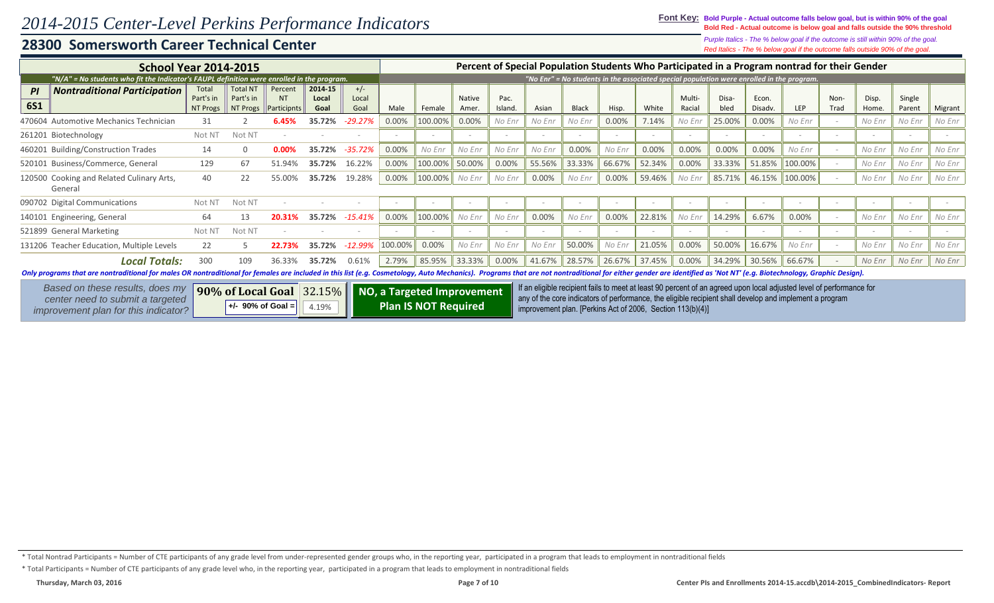### **28300 Somersworth Career Technical Center**

*Red Italics - The % below goal if the outcome falls outside 90% of the goal. Purple Italics - The % below goal if the outcome is still within 90% of the goal.*

| <b>School Year 2014-2015</b>                                                                                                                                                                                                  |                               |                                                                                                         |                                     |                          |                        |         |                             |                 |                 |        |              |                          |                                                            |                  | Percent of Special Population Students Who Participated in a Program nontrad for their Gender                                                                                                                                   |                  |         |              |                          |                  |         |
|-------------------------------------------------------------------------------------------------------------------------------------------------------------------------------------------------------------------------------|-------------------------------|---------------------------------------------------------------------------------------------------------|-------------------------------------|--------------------------|------------------------|---------|-----------------------------|-----------------|-----------------|--------|--------------|--------------------------|------------------------------------------------------------|------------------|---------------------------------------------------------------------------------------------------------------------------------------------------------------------------------------------------------------------------------|------------------|---------|--------------|--------------------------|------------------|---------|
| "N/A" = No students who fit the Indicator's FAUPL definition were enrolled in the program.                                                                                                                                    |                               |                                                                                                         |                                     |                          |                        |         |                             |                 |                 |        |              |                          |                                                            |                  | "No Enr" = No students in the associated special population were enrolled in the program.                                                                                                                                       |                  |         |              |                          |                  |         |
| <b>Nontraditional Participation</b><br>PI<br><b>6S1</b>                                                                                                                                                                       | Tota<br>Part's in<br>NT Progs | <b>Total NT</b><br>Part's in<br>NT Progs                                                                | Percent<br><b>NT</b><br>Participnts | 2014-15<br>Local<br>Goal | $+/-$<br>Local<br>Goal | Male    | Female                      | Native<br>Amer. | Pac.<br>Island. | Asian  | <b>Black</b> | Hisp.                    | White                                                      | Multi-<br>Racial | Disa-<br>bled                                                                                                                                                                                                                   | Econ.<br>Disadv. | LEP     | Non-<br>Trad | Disp.<br>Home.           | Single<br>Parent | Migrant |
| 470604 Automotive Mechanics Technician                                                                                                                                                                                        | 31                            |                                                                                                         | 6.45%                               | 35.72%                   | $-29.27%$              | 0.00%   | 100.00%                     | 0.00%           | No Enr          | No Enr | No Enr       | 0.00%                    | 7.14%                                                      | No Enr           | 25.00%                                                                                                                                                                                                                          | 0.00%            | No Enr  |              | No Enr                   | No Enr           | No Enr  |
| 261201 Biotechnology                                                                                                                                                                                                          | Not N <sub>1</sub>            | Not NT                                                                                                  |                                     |                          |                        |         |                             |                 |                 | $\sim$ |              | $\overline{\phantom{a}}$ |                                                            |                  |                                                                                                                                                                                                                                 |                  |         |              |                          |                  |         |
| <b>Building/Construction Trades</b><br>460201                                                                                                                                                                                 | 14                            | 0                                                                                                       | 0.00%                               | 35.72%                   | $-35.72%$              | 0.00%   | No Enr                      | No Enr          | No Enr          | No Enr | 0.00%        | No Enr                   | 0.00%                                                      | 0.00%            | 0.00%                                                                                                                                                                                                                           | 0.00%            | No Enr  |              | No Enr                   | No Enr           | No Enr  |
| 520101 Business/Commerce, General                                                                                                                                                                                             | 129                           | 67                                                                                                      | 51.94%                              | 35.72%                   | 16.22%                 | 0.00%   | 100.00%                     | 50.00%          | 0.00%           | 55.56% | 33.33%       | 66.67%                   | 52.34%                                                     | 0.00%            | 33.33%                                                                                                                                                                                                                          | 51.85%           | 100.00% |              | No Enr                   | No Enr           | No Enr  |
| 120500 Cooking and Related Culinary Arts,<br>General                                                                                                                                                                          | 40                            | 22                                                                                                      | 55.00%                              | 35.72%                   | 19.28%                 | 0.00%   | 100.00%                     | No Enr          | No Enr          | 0.00%  | No Enr       | 0.00%                    | 59.46%                                                     | No Enr           | 85.71%                                                                                                                                                                                                                          | 46.15%           | 100.00% |              | No Enr                   | No Enr           | No Enr  |
| 090702 Digital Communications                                                                                                                                                                                                 | Not N <sub>1</sub>            | Not N <sub>1</sub>                                                                                      |                                     |                          |                        |         |                             |                 |                 | $\sim$ |              |                          |                                                            |                  |                                                                                                                                                                                                                                 |                  |         |              | $\overline{\phantom{a}}$ |                  |         |
| 140101 Engineering, General                                                                                                                                                                                                   | 64                            | 13                                                                                                      |                                     | 35.72%                   | $-15.41%$              | 0.00%   | 100.00%                     | No Enr          | No Enr          | 0.00%  | No Enr       | 0.00%                    | 22.81%                                                     | No Enr           | 14.29%                                                                                                                                                                                                                          | 6.67%            | 0.00%   |              | No Enr                   | No Enr           | No Enr  |
| 521899 General Marketing                                                                                                                                                                                                      | Not N <sub>1</sub>            | Not NT                                                                                                  |                                     |                          |                        |         |                             |                 |                 | $\sim$ |              |                          |                                                            |                  |                                                                                                                                                                                                                                 |                  |         |              |                          | <b>COL</b>       |         |
| 131206 Teacher Education, Multiple Levels                                                                                                                                                                                     | 22                            |                                                                                                         |                                     | 35.72%                   | $-12.99%$              | 100.00% | 0.00%                       | No Enr          | No Enr          | No Enr | 50.00%       | No Enr                   | 21.05%                                                     | 0.00%            | 50.00%                                                                                                                                                                                                                          | 16.67%           | No Enr  |              | No Enr                   | No Enr           | No Enr  |
| <b>Local Totals:</b>                                                                                                                                                                                                          | 300                           | 109                                                                                                     | 36.33%                              | 35.72%                   | 0.61%                  | 2.79%   | 85.95%                      | 33.33%          | 0.00%           | 41.67% | 28.57%       | 26.67%                   | 37.45%                                                     | 0.00%            | 34.29%                                                                                                                                                                                                                          | 30.56%           | 66.67%  |              | No Enr                   | No Enr           | No Enr  |
| Only programs that are nontraditional for males OR nontraditional for females are included in this list (e.g. Cosmetology, Auto Mechanics). Programs that are not nontraditional for either gender are identified as 'Not NT' |                               |                                                                                                         |                                     |                          |                        |         |                             |                 |                 |        |              |                          |                                                            |                  |                                                                                                                                                                                                                                 |                  |         |              |                          |                  |         |
| Based on these results, does my<br>center need to submit a targeted<br>improvement plan for this indicator?                                                                                                                   |                               | $\vert$ 90% of Local Goal $\vert$ 32.15% $\vert\vert$ NO, a Targeted Improvement<br>$+/-$ 90% of Goal = |                                     | 4.19%                    |                        |         | <b>Plan IS NOT Required</b> |                 |                 |        |              |                          | improvement plan. [Perkins Act of 2006, Section 113(b)(4)] |                  | If an eligible recipient fails to meet at least 90 percent of an agreed upon local adjusted level of performance for<br>any of the core indicators of performance, the eligible recipient shall develop and implement a program |                  |         |              |                          |                  |         |

\* Total Participants = Number of CTE participants of any grade level who, in the reporting year, participated in a program that leads to employment in nontraditional fields

<sup>\*</sup> Total Nontrad Participants = Number of CTE participants of any grade level from under-represented gender groups who, in the reporting year, participated in a program that leads to employment in nontraditional fields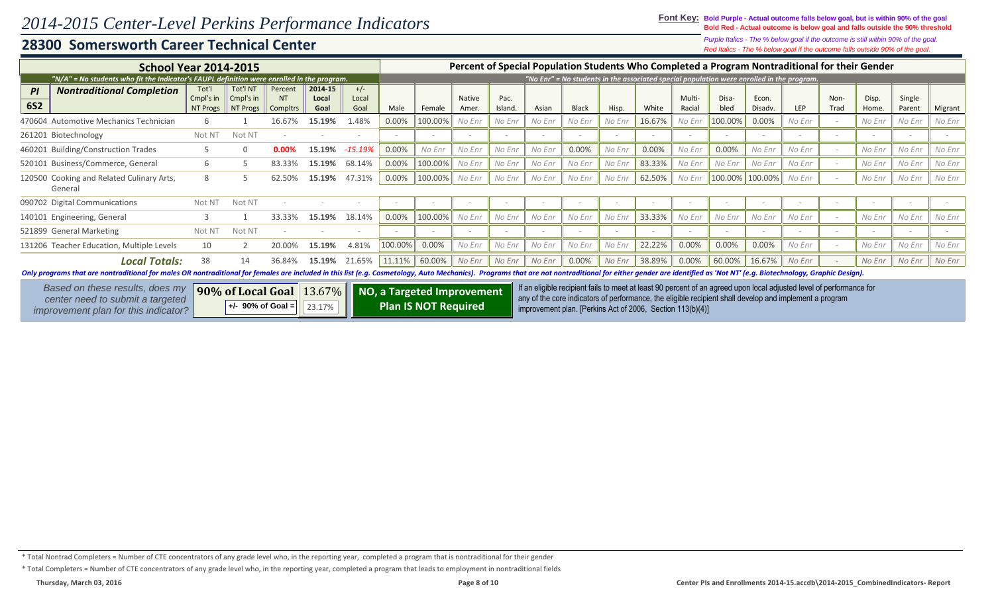*Purple Italics - The % below goal if the outcome is still within 90% of the goal.*

## **28300 Somersworth Career Technical Center**

*Red Italics - The % below goal if the outcome falls outside 90% of the goal.*

| <b>School Year 2014-2015</b>                                                                                                                                                                                                  |                                |                                        |                                         |                                               |                        |         |                             |                 |                |                                                            |              |        |        |                  |               |                  |                                                                                                                                                                                                                                 |              | Percent of Special Population Students Who Completed a Program Nontraditional for their Gender |                  |         |
|-------------------------------------------------------------------------------------------------------------------------------------------------------------------------------------------------------------------------------|--------------------------------|----------------------------------------|-----------------------------------------|-----------------------------------------------|------------------------|---------|-----------------------------|-----------------|----------------|------------------------------------------------------------|--------------|--------|--------|------------------|---------------|------------------|---------------------------------------------------------------------------------------------------------------------------------------------------------------------------------------------------------------------------------|--------------|------------------------------------------------------------------------------------------------|------------------|---------|
| "N/A" = No students who fit the Indicator's FAUPL definition were enrolled in the program.                                                                                                                                    |                                |                                        |                                         |                                               |                        |         |                             |                 |                |                                                            |              |        |        |                  |               |                  | "No Enr" = No students in the associated special population were enrolled in the program.                                                                                                                                       |              |                                                                                                |                  |         |
| <b>Nontraditional Completion</b><br>PI<br><b>6S2</b>                                                                                                                                                                          | Tot'l<br>Cmpl's in<br>NT Progs | Tot'l NT<br>Cmpl's in<br>NT Progs      | Percent<br><b>NT</b><br><b>Compltrs</b> | 2014-15<br>Local<br>Goal                      | $+/-$<br>Local<br>Goal | Male    | Female                      | Native<br>Amer. | Pac.<br>Island | Asian                                                      | <b>Black</b> | Hisp.  | White  | Multi-<br>Racial | Disa-<br>bled | Econ.<br>Disadv. | <b>LEP</b>                                                                                                                                                                                                                      | Non-<br>Trad | Disp.<br>Home.                                                                                 | Single<br>Parent | Migrant |
| 470604 Automotive Mechanics Technician                                                                                                                                                                                        |                                |                                        | 16.67%                                  | 15.19%                                        | .48%                   | 0.00%   | 100.00%                     | No Enr          | No Enr         | No Enr                                                     | No Enr       | No Enr | 16.67% | No Enr           | 100.00%       | 0.00%            | No Enr                                                                                                                                                                                                                          |              | No Enr                                                                                         | No Enr           | No Enr  |
| 261201 Biotechnology                                                                                                                                                                                                          | Not N <sup>-</sup>             | Not NT                                 |                                         |                                               |                        |         |                             |                 |                |                                                            |              |        |        |                  |               |                  |                                                                                                                                                                                                                                 |              |                                                                                                |                  |         |
| 460201 Building/Construction Trades                                                                                                                                                                                           |                                | $\Omega$                               | 0.00%                                   | 15.19%                                        | $-15.19%$              | 0.00%   | No Enr                      | No Enr          | No Enr         | No Enr                                                     | 0.00%        | No Enr | 0.00%  | No Enr           | 0.00%         | No Enr           | No Enr                                                                                                                                                                                                                          |              | No Enr                                                                                         | No Enr           | No Enr  |
| 520101 Business/Commerce, General                                                                                                                                                                                             | 6                              |                                        | 83.33%                                  | 15.19%                                        | 68.14%                 | 0.00%   | 100.00%                     | No Enr          | No Enr         | No Enr                                                     | No Enr       | No Enr | 83.33% | No Enr           | No Enr        | No Enr           | No Enr                                                                                                                                                                                                                          |              | No Enr                                                                                         | No Enr           | No Enr  |
| 120500 Cooking and Related Culinary Arts,<br>General                                                                                                                                                                          |                                |                                        | 62.50%                                  | 15.19%                                        | 47.31%                 | 0.00%   | 100.00%                     | No Enr          | No Enr         | No Enr                                                     | No Enr       | No Enr | 62.50% | No Enr           |               | 100.00% 100.00%  | No Enr                                                                                                                                                                                                                          |              | No Enr                                                                                         | No Enr           | No Enr  |
| 090702 Digital Communications                                                                                                                                                                                                 | Not N <sup>-</sup>             | Not NT                                 |                                         |                                               |                        |         |                             |                 |                |                                                            | $\sim$       |        |        |                  | $\sim$        |                  |                                                                                                                                                                                                                                 |              | $\sim$                                                                                         | $\sim$           |         |
| 140101 Engineering, General                                                                                                                                                                                                   |                                |                                        | 33.33%                                  | 15.19%                                        | 18.14%                 | 0.00%   | 100.00%                     | No Enr          | No Enr         | No Enr                                                     | No Enr       | No Enr | 33.33% | No Enr           | No Enr        | No Enr           | No Enr                                                                                                                                                                                                                          |              | No Enr                                                                                         | No Enr           | No Enr  |
| 521899 General Marketing                                                                                                                                                                                                      | Not N <sup>-</sup>             | Not NT                                 |                                         |                                               |                        |         |                             |                 |                |                                                            |              |        |        |                  |               |                  |                                                                                                                                                                                                                                 |              |                                                                                                | $\sim$           |         |
| 131206 Teacher Education, Multiple Levels                                                                                                                                                                                     | 10                             |                                        |                                         | 15.19%                                        | 4.81%                  | 100.00% | 0.00%                       | No Enr          | No Enr         | No Enr                                                     | No Enr       | No Enr | 22.22% | 0.00%            | 0.00%         | 0.00%            | No Enr                                                                                                                                                                                                                          |              | No Enr                                                                                         | No Enr           | No Enr  |
| <b>Local Totals:</b>                                                                                                                                                                                                          | 38                             | 14                                     | 36.84%                                  | 15.19%                                        | 21.65%                 | 11.11%  | 60.00%                      | No Enr          | No Enr         | No Enr                                                     | 0.00%        | No Enr | 38.89% | 0.00%            | 60.00%        | 16.67%           | No Enr                                                                                                                                                                                                                          |              | No Enr                                                                                         | No Enr           | No Enr  |
| Only programs that are nontraditional for males OR nontraditional for females are included in this list (e.g. Cosmetology, Auto Mechanics). Programs that are not nontraditional for either gender are identified as 'Not NT' |                                |                                        |                                         |                                               |                        |         |                             |                 |                |                                                            |              |        |        |                  |               |                  |                                                                                                                                                                                                                                 |              |                                                                                                |                  |         |
| Based on these results, does my<br>center need to submit a targeted<br>improvement plan for this indicator?                                                                                                                   |                                | 90% of Local Goal<br>+/- 90% of Goal = |                                         | 13.67%   NO, a Targeted Improvement<br>23.17% |                        |         | <b>Plan IS NOT Required</b> |                 |                | improvement plan. [Perkins Act of 2006, Section 113(b)(4)] |              |        |        |                  |               |                  | If an eligible recipient fails to meet at least 90 percent of an agreed upon local adjusted level of performance for<br>any of the core indicators of performance, the eligible recipient shall develop and implement a program |              |                                                                                                |                  |         |

\* Total Nontrad Completers = Number of CTE concentrators of any grade level who, in the reporting year, completed a program that is nontraditional for their gender

\* Total Completers = Number of CTE concentrators of any grade level who, in the reporting year, completed a program that leads to employment in nontraditional fields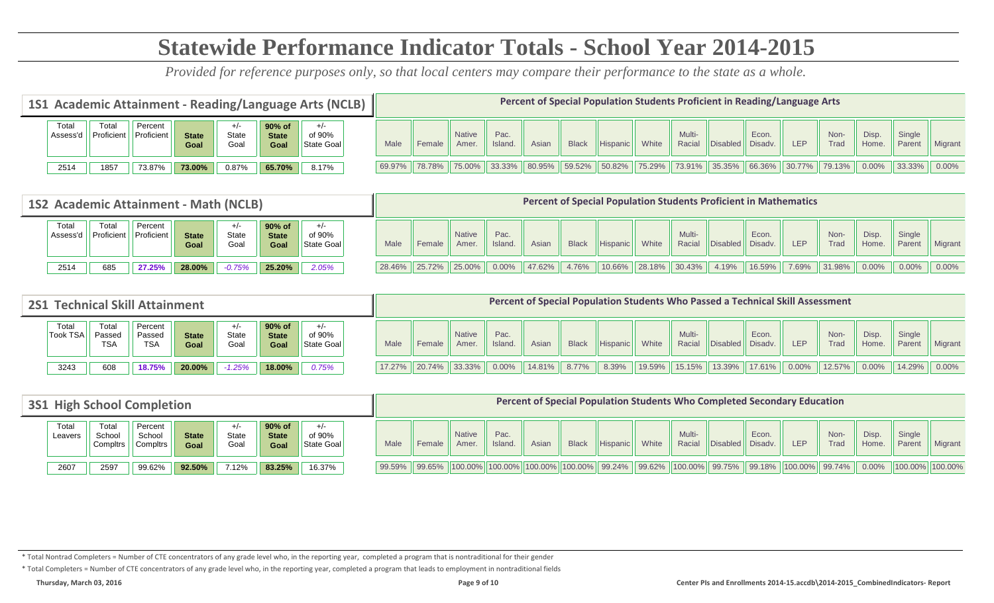# **Statewide Performance Indicator Totals - School Year 2014-2015**

*Provided for reference purposes only, so that local centers may compare their performance to the state as a whole.*

|                  |                   |                              |                      |               | 1S1 Academic Attainment - Reading/Language Arts (NCLB) |                               |        |                                |                       |                 |        |                    | Percent of Special Population Students Proficient in Reading/Language Arts |        |                  |                  |           |        |                     |                |                  |          |
|------------------|-------------------|------------------------------|----------------------|---------------|--------------------------------------------------------|-------------------------------|--------|--------------------------------|-----------------------|-----------------|--------|--------------------|----------------------------------------------------------------------------|--------|------------------|------------------|-----------|--------|---------------------|----------------|------------------|----------|
| Tota<br>Assess'd | Tota<br>Proficien | Percent<br><b>Proficient</b> | <b>State</b><br>Goal | State<br>Goal | 90% of<br><b>State</b><br>Goal                         | $+/-$<br>of 90%<br>State Goal | Male   | Female                         | <b>Native</b><br>Amer | Pac.<br>Island. | Asian  | <b>Black</b>       | Hispanic                                                                   | White  | Multi-<br>Racial | Disabled Disadv. | Econ.     | LEP    | Non-<br><b>Trad</b> | Disp.<br>Home. | Single<br>Parent | Migrant  |
| 2514             | 1857              | 73.87%                       | 73.00%               | 0.87%         | 65.70%                                                 | 8.17%                         | 69.97% | $\parallel$ 78.78% $\parallel$ |                       | 75.00% 33.33%   | 80.95% | $\parallel$ 59.52% | 50.82%                                                                     | 75.29% | 73.91%           | 35.35%           | $66.36\%$ | 30.77% | 79.13%              | $0.00\%$       | 33.33%           | $0.00\%$ |

|                   |                     | 1S2 Academic Attainment - Math (NCLB) |                      |                       |                                |                               |      |               |                        |                 |        |              | <b>Percent of Special Population Students Proficient in Mathematics</b> |        |                  |                  |                  |            |                    |                      |                  |                |
|-------------------|---------------------|---------------------------------------|----------------------|-----------------------|--------------------------------|-------------------------------|------|---------------|------------------------|-----------------|--------|--------------|-------------------------------------------------------------------------|--------|------------------|------------------|------------------|------------|--------------------|----------------------|------------------|----------------|
| Total<br>Assess'd | Total<br>Proficient | Percent<br>Proficient                 | <b>State</b><br>Goal | $+/-$<br>State<br>Goa | 90% of<br><b>State</b><br>Goal | $+/-$<br>of 90%<br>State Goal | Male | Female        | <b>Native</b><br>Amer. | Pac.<br>Island. | Asiar  | <b>Black</b> | Hispanic                                                                | White  | Multi-<br>Racial | <b>IDisabled</b> | Econ.<br>Disadv. | <b>LEP</b> | Non-<br>Trad       | <b>Disp</b><br>Home. | Single<br>Parent | <b>Migrant</b> |
| 2514              | 685                 | 27.25%                                | 28.00%               | $-0.75%$              | 25.20%                         | 2.05%                         |      | 28.46% 25.72% | $125.00\%$             | 0.00%           | 47.62% | 4.76%        | $10.66\%$                                                               | 28.18% | 30.43%           | 4.19%            | 16.59%           | 7.69%      | $\parallel$ 31.98% | $0.00\%$             | $0.00\%$         | $0.00\%$       |

| <b>2S1</b>              | <b>Technical Skill Attainment</b> |                                 |                      |               |                                   |                      |           |                            |                        |                 |           |              |          |        |                  |           | Percent of Special Population Students Who Passed a Technical Skill Assessment |          |              |                |                  |          |
|-------------------------|-----------------------------------|---------------------------------|----------------------|---------------|-----------------------------------|----------------------|-----------|----------------------------|------------------------|-----------------|-----------|--------------|----------|--------|------------------|-----------|--------------------------------------------------------------------------------|----------|--------------|----------------|------------------|----------|
| Tota<br><b>Took TSA</b> | Total<br>Passed<br><b>TSA</b>     | Percent<br>Passed<br><b>TSA</b> | <b>State</b><br>Goal | State<br>Goal | $90\%$ of<br><b>State</b><br>Goal | of 90%<br>State Goal | Male      | Female                     | <b>Native</b><br>Amer. | Pac.<br>Island. | Asiar     | <b>Black</b> | Hispanic | White  | Multi-<br>Racial | Disabled  | Econ.<br>Disadv.                                                               | LEP      | Non-<br>Trad | Disp.<br>Home. | Single<br>Parent | Migrant  |
| 3243                    | 608                               | 8.75%                           | 20.00%               | $-1.25%$      | 18.00%                            | 0.75%                | $17.27\%$ | $\  20.74\% \  33.33\% \ $ |                        | $0.00\%$        | $14.81\%$ | 8.77%        | 8.39%    | 19.59% | 15.15%           | $13.39\%$ | 17.61%                                                                         | $0.00\%$ | $12.57\%$    | 0.00%          | 14.29%           | $0.00\%$ |

| <b>3S1 High School Completion</b> |                             |                               |                      |                       |                                |                               |           |                    |                                                         |                 |       |              |          |       | Percent of Special Population Students Who Completed Secondary Education              |                  |       |     |              |                |                  |                              |
|-----------------------------------|-----------------------------|-------------------------------|----------------------|-----------------------|--------------------------------|-------------------------------|-----------|--------------------|---------------------------------------------------------|-----------------|-------|--------------|----------|-------|---------------------------------------------------------------------------------------|------------------|-------|-----|--------------|----------------|------------------|------------------------------|
| Totai<br>Leavers                  | Total<br>School<br>Compltrs | Percent<br>School<br>Compltrs | <b>State</b><br>Goal | $+/-$<br>State<br>Goa | 90% of<br><b>State</b><br>Goal | $+/-$<br>of 90%<br>State Goal | Male      | Female             | <b>Native</b><br>Amer.                                  | Pac.<br>Island. | Asian | <b>Black</b> | Hispanic | White | Multi-<br>Racial                                                                      | Disabled Disadv. | Econ. | LEP | Non-<br>Trad | Disp.<br>Home. | Single<br>Parent | Migrant                      |
| 2607                              | 2597                        | 99.62%                        | 92.50%               | 7.12%                 | 83.25%                         | 16.37%                        | $99.59\%$ | $\parallel$ 99.65% | $\ 100.00\% \ 100.00\% \ 100.00\% \ 100.00\% \ 99.24\%$ |                 |       |              |          |       | $\mid$ 99.62% $\mid$ 100.00% $\mid$ 99.75% $\mid$ 99.18% $\mid$ 100.00% $\mid$ 99.74% |                  |       |     |              |                |                  | $0.00\%$   100.00%   100.00% |

\* Total Nontrad Completers = Number of CTE concentrators of any grade level who, in the reporting year, completed a program that is nontraditional for their gender

\* Total Completers = Number of CTE concentrators of any grade level who, in the reporting year, completed a program that leads to employment in nontraditional fields